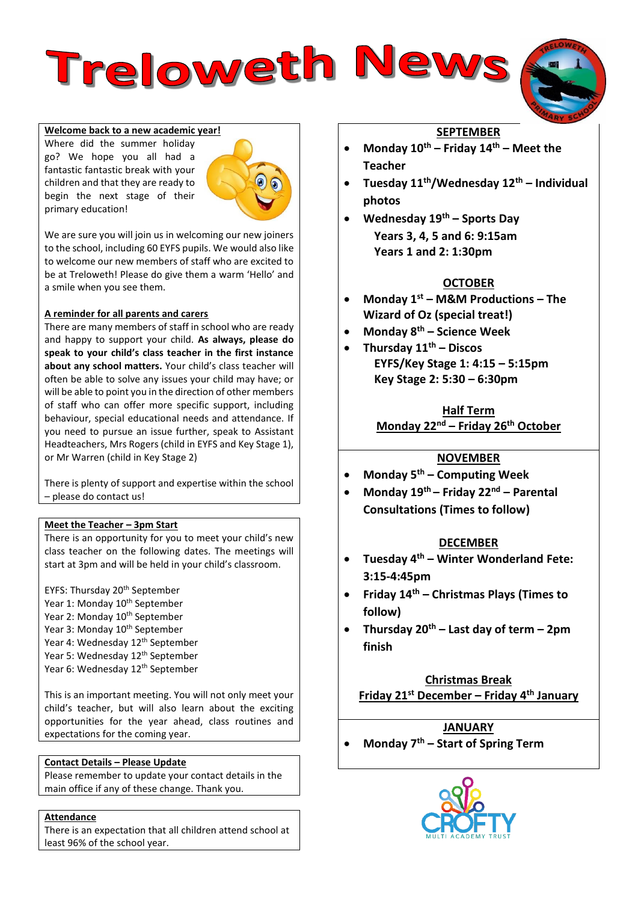**Welcome back to a new academic year!** 

Where did the summer holiday go? We hope you all had a fantastic fantastic break with your children and that they are ready to begin the next stage of their primary education!



Treloweth News

We are sure you will join us in welcoming our new joiners to the school, including 60 EYFS pupils. We would also like to welcome our new members of staff who are excited to be at Treloweth! Please do give them a warm 'Hello' and a smile when you see them.

## **A reminder for all parents and carers**

There are many members of staff in school who are ready and happy to support your child. **As always, please do speak to your child's class teacher in the first instance about any school matters.** Your child's class teacher will often be able to solve any issues your child may have; or will be able to point you in the direction of other members of staff who can offer more specific support, including behaviour, special educational needs and attendance. If you need to pursue an issue further, speak to Assistant Headteachers, Mrs Rogers (child in EYFS and Key Stage 1), or Mr Warren (child in Key Stage 2)

There is plenty of support and expertise within the school – please do contact us!

#### **Meet the Teacher – 3pm Start**

There is an opportunity for you to meet your child's new class teacher on the following dates. The meetings will start at 3pm and will be held in your child's classroom.

EYFS: Thursday 20<sup>th</sup> September Year 1: Monday 10<sup>th</sup> September Year 2: Monday 10<sup>th</sup> September Year 3: Monday 10<sup>th</sup> September Year 4: Wednesday 12<sup>th</sup> September Year 5: Wednesday 12<sup>th</sup> September Year 6: Wednesday 12<sup>th</sup> September

This is an important meeting. You will not only meet your child's teacher, but will also learn about the exciting opportunities for the year ahead, class routines and expectations for the coming year.

#### **Contact Details – Please Update**

Please remember to update your contact details in the main office if any of these change. Thank you.

#### **Attendance**

There is an expectation that all children attend school at least 96% of the school year.

# **SEPTEMBER**

- **Monday 10th – Friday 14th – Meet the Teacher**
- **Tuesday 11th/Wednesday 12th – Individual photos**
- **Wednesday 19th – Sports Day Years 3, 4, 5 and 6: 9:15am Years 1 and 2: 1:30pm**

# **OCTOBER**

- **Monday 1st – M&M Productions – The Wizard of Oz (special treat!)**
- **Monday 8th – Science Week**
- **Thursday 11th – Discos EYFS/Key Stage 1: 4:15 – 5:15pm Key Stage 2: 5:30 – 6:30pm**

**Half Term Monday 22nd – Friday 26th October**

# **NOVEMBER**

- **Monday 5th – Computing Week**
- **Monday 19th – Friday 22nd – Parental Consultations (Times to follow)**

# **DECEMBER**

- **Tuesday 4th – Winter Wonderland Fete: 3:15-4:45pm**
- **Friday 14th – Christmas Plays (Times to follow)**
- **Thursday 20th – Last day of term – 2pm finish**

# **Christmas Break Friday 21st December – Friday 4th January**

# **JANUARY**

**Monday 7th – Start of Spring Term**